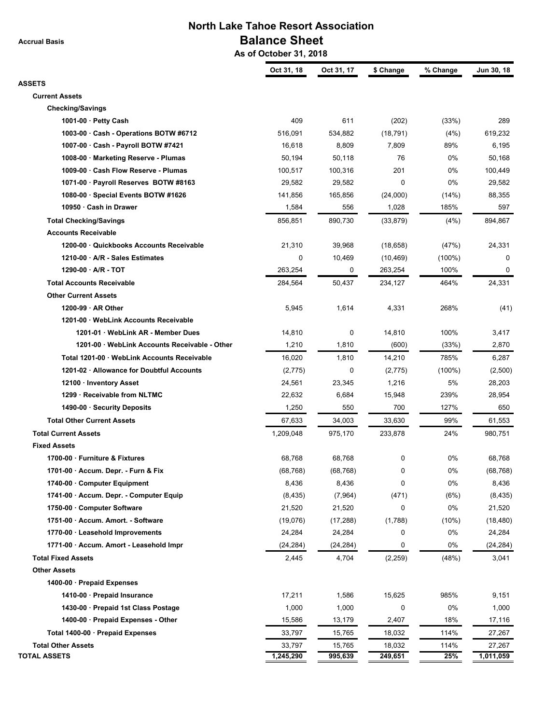**Accrual Basis**

## **North Lake Tahoe Resort Association Balance Sheet**

 **As of October 31, 2018**

|                                               | Oct 31, 18 | Oct 31, 17 | \$ Change | % Change  | Jun 30, 18 |
|-----------------------------------------------|------------|------------|-----------|-----------|------------|
| <b>ASSETS</b>                                 |            |            |           |           |            |
| <b>Current Assets</b>                         |            |            |           |           |            |
| <b>Checking/Savings</b>                       |            |            |           |           |            |
| 1001-00 $\cdot$ Petty Cash                    | 409        | 611        | (202)     | (33%)     | 289        |
| 1003-00 · Cash - Operations BOTW #6712        | 516,091    | 534,882    | (18, 791) | (4%)      | 619,232    |
| 1007-00 · Cash - Payroll BOTW #7421           | 16,618     | 8,809      | 7,809     | 89%       | 6,195      |
| 1008-00 · Marketing Reserve - Plumas          | 50,194     | 50,118     | 76        | 0%        | 50,168     |
| 1009-00 · Cash Flow Reserve - Plumas          | 100,517    | 100,316    | 201       | 0%        | 100,449    |
| 1071-00 · Payroll Reserves BOTW #8163         | 29,582     | 29,582     | 0         | 0%        | 29,582     |
| 1080-00 · Special Events BOTW #1626           | 141,856    | 165,856    | (24,000)  | (14%)     | 88,355     |
| 10950 · Cash in Drawer                        | 1,584      | 556        | 1,028     | 185%      | 597        |
| <b>Total Checking/Savings</b>                 | 856,851    | 890,730    | (33, 879) | (4%)      | 894,867    |
| <b>Accounts Receivable</b>                    |            |            |           |           |            |
| 1200-00 · Quickbooks Accounts Receivable      | 21,310     | 39,968     | (18, 658) | (47%)     | 24,331     |
| 1210-00 · A/R - Sales Estimates               | 0          | 10,469     | (10, 469) | $(100\%)$ | 0          |
| 1290-00 · A/R - TOT                           | 263,254    | 0          | 263,254   | 100%      | 0          |
| <b>Total Accounts Receivable</b>              | 284,564    | 50,437     | 234,127   | 464%      | 24,331     |
| <b>Other Current Assets</b>                   |            |            |           |           |            |
| $1200-99 \cdot AR$ Other                      | 5,945      | 1,614      | 4,331     | 268%      | (41)       |
| 1201-00 · WebLink Accounts Receivable         |            |            |           |           |            |
| 1201-01 · WebLink AR - Member Dues            | 14,810     | 0          | 14,810    | 100%      | 3,417      |
| 1201-00 · WebLink Accounts Receivable - Other | 1,210      | 1,810      | (600)     | (33%)     | 2,870      |
| Total 1201-00 · WebLink Accounts Receivable   | 16,020     | 1,810      | 14,210    | 785%      | 6,287      |
| 1201-02 · Allowance for Doubtful Accounts     | (2,775)    | 0          | (2,775)   | $(100\%)$ | (2,500)    |
| 12100 · Inventory Asset                       | 24,561     | 23,345     | 1,216     | 5%        | 28,203     |
| 1299 · Receivable from NLTMC                  | 22,632     | 6,684      | 15,948    | 239%      | 28,954     |
| 1490-00 · Security Deposits                   | 1,250      | 550        | 700       | 127%      | 650        |
| <b>Total Other Current Assets</b>             | 67,633     | 34,003     | 33,630    | 99%       | 61,553     |
| <b>Total Current Assets</b>                   | 1,209,048  | 975,170    | 233,878   | 24%       | 980,751    |
| <b>Fixed Assets</b>                           |            |            |           |           |            |
| 1700-00 · Furniture & Fixtures                | 68,768     | 68,768     | 0         | 0%        | 68,768     |
| 1701-00 · Accum. Depr. - Furn & Fix           | (68, 768)  | (68, 768)  | 0         | $0\%$     | (68, 768)  |
| 1740-00 · Computer Equipment                  | 8,436      | 8,436      | 0         | 0%        | 8,436      |
| 1741-00 · Accum. Depr. - Computer Equip       | (8, 435)   | (7,964)    | (471)     | (6%)      | (8, 435)   |
| 1750-00 · Computer Software                   | 21,520     | 21,520     | 0         | 0%        | 21,520     |
| 1751-00 · Accum. Amort. - Software            | (19,076)   | (17, 288)  | (1,788)   | (10%)     | (18, 480)  |
| 1770-00 · Leasehold Improvements              | 24,284     | 24,284     | 0         | 0%        | 24,284     |
| 1771-00 · Accum. Amort - Leasehold Impr       | (24, 284)  | (24, 284)  | 0         | 0%        | (24, 284)  |
| <b>Total Fixed Assets</b>                     | 2,445      | 4,704      | (2, 259)  | (48%)     | 3,041      |
| <b>Other Assets</b>                           |            |            |           |           |            |
| 1400-00 · Prepaid Expenses                    |            |            |           |           |            |
| 1410-00 · Prepaid Insurance                   | 17,211     | 1,586      | 15,625    | 985%      | 9,151      |
| 1430-00 · Prepaid 1st Class Postage           | 1,000      | 1,000      | 0         | 0%        | 1,000      |
| 1400-00 · Prepaid Expenses - Other            | 15,586     | 13,179     | 2,407     | 18%       | 17,116     |
| Total 1400-00 · Prepaid Expenses              | 33,797     | 15,765     | 18,032    | 114%      | 27,267     |
| <b>Total Other Assets</b>                     | 33,797     | 15,765     | 18,032    | 114%      | 27,267     |
| <b>TOTAL ASSETS</b>                           | 1,245,290  | 995,639    | 249,651   | 25%       | 1,011,059  |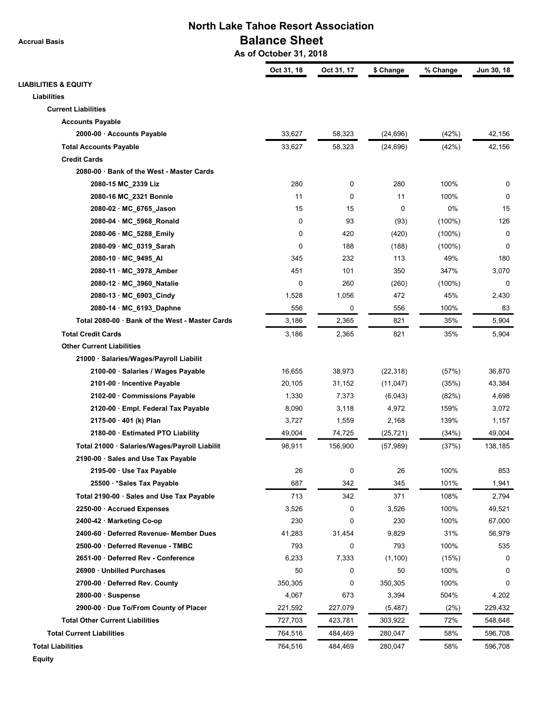**Accrual Basis**

### **North Lake Tahoe Resort Association Balance Sheet**

 **As of October 31, 2018**

|                                                 | Oct 31, 18 | Oct 31, 17 | \$ Change | % Change  | Jun 30, 18 |
|-------------------------------------------------|------------|------------|-----------|-----------|------------|
| <b>LIABILITIES &amp; EQUITY</b>                 |            |            |           |           |            |
| Liabilities                                     |            |            |           |           |            |
| <b>Current Liabilities</b>                      |            |            |           |           |            |
| <b>Accounts Payable</b>                         |            |            |           |           |            |
| 2000-00 · Accounts Payable                      | 33,627     | 58,323     | (24, 696) | (42%)     | 42,156     |
| <b>Total Accounts Payable</b>                   | 33,627     | 58,323     | (24, 696) | (42%)     | 42,156     |
| <b>Credit Cards</b>                             |            |            |           |           |            |
| 2080-00 · Bank of the West - Master Cards       |            |            |           |           |            |
| 2080-15 MC_2339 Liz                             | 280        | 0          | 280       | 100%      | 0          |
| 2080-16 MC_2321 Bonnie                          | 11         | 0          | 11        | 100%      | 0          |
| 2080-02 · MC_6765_Jason                         | 15         | 15         | $\Omega$  | 0%        | 15         |
| 2080-04 · MC_5968_Ronald                        | 0          | 93         | (93)      | $(100\%)$ | 126        |
| 2080-06 · MC_5288_Emily                         | 0          | 420        | (420)     | $(100\%)$ | 0          |
| 2080-09 · MC_0319_Sarah                         | 0          | 188        | (188)     | $(100\%)$ | 0          |
| 2080-10 · MC 9495 AI                            | 345        | 232        | 113       | 49%       | 180        |
| 2080-11 · MC_3978_Amber                         | 451        | 101        | 350       | 347%      | 3,070      |
| 2080-12 · MC_3960_Natalie                       | 0          | 260        | (260)     | $(100\%)$ | 0          |
| 2080-13 · MC_6903_Cindy                         | 1,528      | 1,056      | 472       | 45%       | 2,430      |
| 2080-14 · MC_6193_Daphne                        | 556        | 0          | 556       | 100%      | 83         |
| Total 2080-00 · Bank of the West - Master Cards | 3,186      | 2,365      | 821       | 35%       | 5,904      |
| <b>Total Credit Cards</b>                       | 3,186      | 2,365      | 821       | 35%       | 5,904      |
| <b>Other Current Liabilities</b>                |            |            |           |           |            |
| 21000 · Salaries/Wages/Payroll Liabilit         |            |            |           |           |            |
| 2100-00 · Salaries / Wages Payable              | 16,655     | 38,973     | (22, 318) | (57%)     | 36,870     |
| 2101-00 · Incentive Payable                     | 20,105     | 31,152     | (11, 047) | (35%)     | 43,384     |
| 2102-00 · Commissions Payable                   | 1,330      | 7,373      | (6,043)   | (82%)     | 4,698      |
| 2120-00 · Empl. Federal Tax Payable             | 8,090      | 3,118      | 4,972     | 159%      | 3,072      |
| 2175-00 · 401 (k) Plan                          | 3,727      | 1,559      | 2,168     | 139%      | 1,157      |
| 2180-00 · Estimated PTO Liability               | 49,004     | 74,725     | (25, 721) | (34%)     | 49,004     |
| Total 21000 · Salaries/Wages/Payroll Liabilit   | 98,911     | 156,900    | (57, 989) | (37%)     | 138,185    |
| 2190-00 · Sales and Use Tax Payable             |            |            |           |           |            |
| 2195-00 · Use Tax Payable                       | 26         | 0          | 26        | 100%      | 853        |
| 25500 · *Sales Tax Payable                      | 687        | 342        | 345       | 101%      | 1,941      |
| Total 2190-00 · Sales and Use Tax Payable       | 713        | 342        | 371       | 108%      | 2,794      |
| 2250-00 · Accrued Expenses                      | 3,526      | 0          | 3,526     | 100%      | 49,521     |
| 2400-42 · Marketing Co-op                       | 230        | 0          | 230       | 100%      | 67,000     |
| 2400-60 · Deferred Revenue- Member Dues         | 41,283     | 31,454     | 9,829     | 31%       | 56,979     |
| 2500-00 · Deferred Revenue - TMBC               | 793        | 0          | 793       | 100%      | 535        |
| 2651-00 · Deferred Rev - Conference             | 6,233      | 7,333      | (1, 100)  | (15%)     | 0          |
| 26900 · Unbilled Purchases                      | 50         | 0          | 50        | 100%      | 0          |
| 2700-00 · Deferred Rev. County                  | 350,305    | 0          | 350,305   | 100%      | 0          |
| $2800-00 \cdot$ Suspense                        | 4,067      | 673        | 3,394     | 504%      | 4,202      |
| 2900-00 · Due To/From County of Placer          | 221,592    | 227,079    | (5, 487)  | (2%)      | 229,432    |
| <b>Total Other Current Liabilities</b>          | 727,703    | 423,781    | 303,922   | 72%       | 548,648    |
| <b>Total Current Liabilities</b>                | 764,516    | 484,469    | 280,047   | 58%       | 596,708    |
| <b>Total Liabilities</b>                        | 764,516    | 484,469    | 280,047   | 58%       | 596,708    |
| <b>Equity</b>                                   |            |            |           |           |            |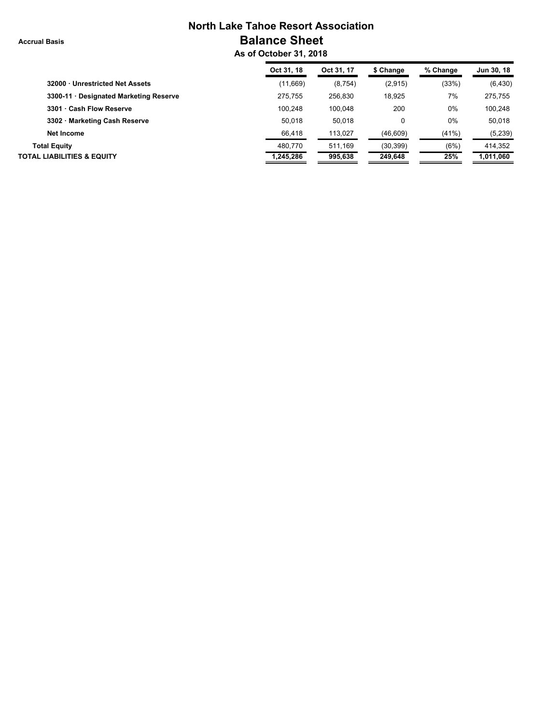**Accrual Basis**

## **North Lake Tahoe Resort Association Balance Sheet**

 **As of October 31, 2018**

| Oct 31, 18 | Oct 31, 17 | \$ Change | % Change | Jun 30, 18 |
|------------|------------|-----------|----------|------------|
| (11,669)   | (8, 754)   | (2,915)   | (33%)    | (6, 430)   |
| 275.755    | 256.830    | 18,925    | 7%       | 275,755    |
| 100.248    | 100.048    | 200       | 0%       | 100,248    |
| 50.018     | 50.018     | 0         | 0%       | 50.018     |
| 66,418     | 113,027    | (46, 609) | (41%)    | (5,239)    |
| 480.770    | 511.169    | (30, 399) | (6%)     | 414.352    |
| 1,245,286  | 995,638    | 249,648   | 25%      | 1,011,060  |
|            |            |           |          |            |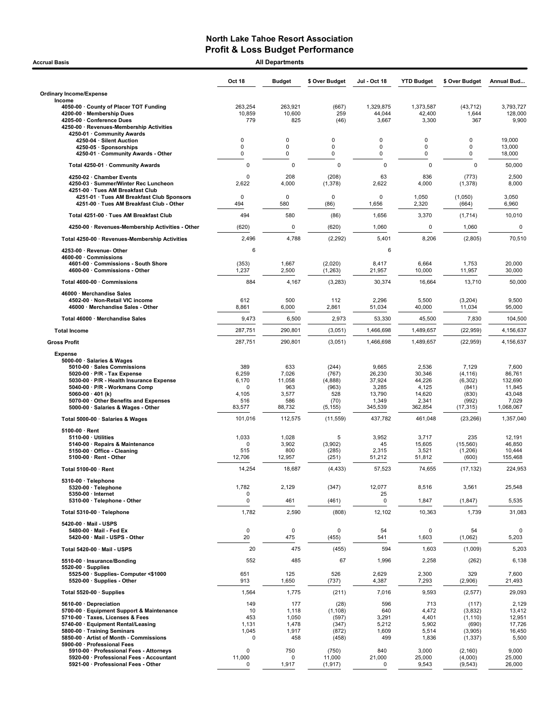| <b>Accrual Basis</b>                                                                                                                                                                                                    |                                         | <b>All Departments</b>                         |                                                      |                                              |                                                  |                                                              |                                                        |
|-------------------------------------------------------------------------------------------------------------------------------------------------------------------------------------------------------------------------|-----------------------------------------|------------------------------------------------|------------------------------------------------------|----------------------------------------------|--------------------------------------------------|--------------------------------------------------------------|--------------------------------------------------------|
|                                                                                                                                                                                                                         | Oct 18                                  | <b>Budget</b>                                  | \$ Over Budget                                       | Jul - Oct 18                                 | <b>YTD Budget</b>                                | \$ Over Budget                                               | Annual Bud                                             |
| <b>Ordinary Income/Expense</b>                                                                                                                                                                                          |                                         |                                                |                                                      |                                              |                                                  |                                                              |                                                        |
| Income<br>4050-00 County of Placer TOT Funding<br>4200-00 · Membership Dues<br>4205-00 · Conference Dues                                                                                                                | 263,254<br>10,859<br>779                | 263,921<br>10,600<br>825                       | (667)<br>259<br>(46)                                 | 1,329,875<br>44,044<br>3,667                 | 1,373,587<br>42,400<br>3,300                     | (43, 712)<br>1,644<br>367                                    | 3,793,727<br>128,000<br>9,900                          |
| 4250-00 · Revenues-Membership Activities<br>4250-01 · Community Awards                                                                                                                                                  |                                         |                                                |                                                      |                                              |                                                  |                                                              |                                                        |
| 4250-04 · Silent Auction                                                                                                                                                                                                | $\mathbf 0$<br>0                        | $\mathbf 0$                                    | 0<br>$\mathbf 0$                                     | $\Omega$<br>$\mathbf 0$                      | 0<br>0                                           | $\Omega$<br>0                                                | 19,000                                                 |
| 4250-05 · Sponsorships<br>4250-01 · Community Awards - Other                                                                                                                                                            | 0                                       | 0<br>0                                         | $\mathbf 0$                                          | 0                                            | 0                                                | 0                                                            | 13,000<br>18,000                                       |
| Total 4250-01 · Community Awards                                                                                                                                                                                        | 0                                       | 0                                              | $\mathbf 0$                                          | $\mathbf 0$                                  | $\mathbf 0$                                      | $\mathbf 0$                                                  | 50,000                                                 |
| 4250-02 · Chamber Events<br>4250-03 · Summer/Winter Rec Luncheon<br>4251-00 · Tues AM Breakfast Club                                                                                                                    | 0<br>2,622                              | 208<br>4,000                                   | (208)<br>(1, 378)                                    | 63<br>2,622                                  | 836<br>4,000                                     | (773)<br>(1, 378)                                            | 2,500<br>8,000                                         |
| 4251-01 · Tues AM Breakfast Club Sponsors<br>4251-00 · Tues AM Breakfast Club - Other                                                                                                                                   | 0<br>494                                | $\mathbf 0$<br>580                             | $\mathbf 0$<br>(86)                                  | $\mathbf 0$<br>1,656                         | 1,050<br>2,320                                   | (1,050)<br>(664)                                             | 3,050<br>6,960                                         |
| Total 4251-00 · Tues AM Breakfast Club                                                                                                                                                                                  | 494                                     | 580                                            | (86)                                                 | 1,656                                        | 3,370                                            | (1, 714)                                                     | 10,010                                                 |
| 4250-00 · Revenues-Membership Activities - Other                                                                                                                                                                        | (620)                                   | 0                                              | (620)                                                | 1,060                                        | $\mathbf 0$                                      | 1,060                                                        |                                                        |
| Total 4250-00 · Revenues-Membership Activities                                                                                                                                                                          | 2,496                                   | 4,788                                          | (2, 292)                                             | 5,401                                        | 8,206                                            | (2,805)                                                      | 70,510                                                 |
| 4253-00 · Revenue-Other                                                                                                                                                                                                 | 6                                       |                                                |                                                      | 6                                            |                                                  |                                                              |                                                        |
| 4600-00 Commissions<br>4601-00 Commissions - South Shore<br>4600-00 · Commissions - Other                                                                                                                               | (353)<br>1,237                          | 1,667<br>2,500                                 | (2,020)<br>(1, 263)                                  | 8,417<br>21,957                              | 6,664<br>10,000                                  | 1,753<br>11,957                                              | 20,000<br>30,000                                       |
| Total 4600-00 · Commissions                                                                                                                                                                                             | 884                                     | 4,167                                          | (3,283)                                              | 30,374                                       | 16,664                                           | 13,710                                                       | 50,000                                                 |
| 46000 · Merchandise Sales<br>4502-00 · Non-Retail VIC income<br>46000 · Merchandise Sales - Other                                                                                                                       | 612<br>8,861                            | 500<br>6,000                                   | 112<br>2,861                                         | 2,296<br>51,034                              | 5,500<br>40,000                                  | (3,204)<br>11,034                                            | 9,500<br>95,000                                        |
| Total 46000 · Merchandise Sales                                                                                                                                                                                         | 9,473                                   | 6,500                                          | 2,973                                                | 53,330                                       | 45,500                                           | 7,830                                                        | 104,500                                                |
| <b>Total Income</b>                                                                                                                                                                                                     | 287,751                                 | 290,801                                        | (3,051)                                              | 1,466,698                                    | 1,489,657                                        | (22, 959)                                                    | 4,156,637                                              |
| <b>Gross Profit</b>                                                                                                                                                                                                     | 287,751                                 | 290,801                                        | (3,051)                                              | 1,466,698                                    | 1,489,657                                        | (22, 959)                                                    | 4,156,637                                              |
| <b>Expense</b>                                                                                                                                                                                                          |                                         |                                                |                                                      |                                              |                                                  |                                                              |                                                        |
| 5000-00 · Salaries & Wages<br>5010-00 · Sales Commissions<br>5020-00 $\cdot$ P/R - Tax Expense<br>5030-00 · P/R - Health Insurance Expense<br>5040-00 · P/R - Workmans Comp                                             | 389<br>6,259<br>6,170<br>0              | 633<br>7,026<br>11,058<br>963                  | (244)<br>(767)<br>(4,888)<br>(963)                   | 9,665<br>26,230<br>37,924<br>3,285           | 2,536<br>30,346<br>44,226<br>4,125               | 7,129<br>(4, 116)<br>(6, 302)<br>(841)                       | 7,600<br>86,761<br>132,690<br>11,845                   |
| 5060-00 $\cdot$ 401 (k)<br>5070-00 · Other Benefits and Expenses<br>5000-00 · Salaries & Wages - Other                                                                                                                  | 4,105<br>516<br>83,577                  | 3,577<br>586<br>88,732                         | 528<br>(70)<br>(5, 155)                              | 13,790<br>1,349<br>345,539                   | 14,620<br>2,341<br>362,854                       | (830)<br>(992)<br>(17, 315)                                  | 43,048<br>7,029<br>1,068,067                           |
| Total 5000-00 · Salaries & Wages                                                                                                                                                                                        | 101,016                                 | 112,575                                        | (11, 559)                                            | 437,782                                      | 461,048                                          | (23, 266)                                                    | 1,357,040                                              |
| $5100-00 \cdot$ Rent                                                                                                                                                                                                    |                                         |                                                |                                                      |                                              |                                                  |                                                              |                                                        |
| 5110-00 · Utilities<br>5140-00 · Repairs & Maintenance<br>5150-00 Office - Cleaning<br>$5100-00 \cdot$ Rent - Other                                                                                                     | 1,033<br>0<br>515<br>12,706             | 1,028<br>3,902<br>800<br>12,957                | 5<br>(3,902)<br>(285)<br>(251)                       | 3,952<br>45<br>2,315<br>51,212               | 3,717<br>15,605<br>3,521<br>51,812               | 235<br>(15, 560)<br>(1,206)<br>(600)                         | 12,191<br>46,850<br>10,444<br>155,468                  |
| Total 5100-00 · Rent                                                                                                                                                                                                    | 14,254                                  | 18,687                                         | (4, 433)                                             | 57,523                                       | 74,655                                           | (17, 132)                                                    | 224,953                                                |
| 5310-00 · Telephone<br>5320-00 · Telephone<br>5350-00 · Internet                                                                                                                                                        | 1,782<br>0                              | 2,129                                          | (347)                                                | 12,077<br>25                                 | 8,516                                            | 3,561                                                        | 25,548                                                 |
| 5310-00 · Telephone - Other                                                                                                                                                                                             | 0                                       | 461                                            | (461)                                                | 0                                            | 1,847                                            | (1, 847)                                                     | 5,535                                                  |
| Total 5310-00 · Telephone                                                                                                                                                                                               | 1,782                                   | 2,590                                          | (808)                                                | 12,102                                       | 10,363                                           | 1,739                                                        | 31,083                                                 |
| 5420-00 · Mail - USPS<br>5480-00 · Mail - Fed Ex<br>5420-00 Mail - USPS - Other                                                                                                                                         | $\mathbf 0$<br>20                       | 0<br>475                                       | 0<br>(455)                                           | 54<br>541                                    | 0<br>1,603                                       | 54<br>(1,062)                                                | 5,203                                                  |
| Total 5420-00 · Mail - USPS                                                                                                                                                                                             | 20                                      | 475                                            | (455)                                                | 594                                          | 1,603                                            | (1,009)                                                      | 5,203                                                  |
| 5510-00 · Insurance/Bonding                                                                                                                                                                                             | 552                                     | 485                                            | 67                                                   | 1,996                                        | 2,258                                            | (262)                                                        | 6,138                                                  |
| $5520-00 \cdot$ Supplies<br>5525-00 · Supplies- Computer <\$1000<br>5520-00 · Supplies - Other                                                                                                                          | 651<br>913                              | 125<br>1,650                                   | 526<br>(737)                                         | 2,629<br>4,387                               | 2,300<br>7,293                                   | 329<br>(2,906)                                               | 7,600<br>21,493                                        |
| Total 5520-00 · Supplies                                                                                                                                                                                                | 1,564                                   | 1,775                                          | (211)                                                | 7,016                                        | 9,593                                            | (2, 577)                                                     | 29,093                                                 |
| 5610-00 · Depreciation<br>5700-00 · Equipment Support & Maintenance<br>5710-00 · Taxes, Licenses & Fees<br>5740-00 · Equipment Rental/Leasing<br>5800-00 · Training Seminars<br>5850-00 · Artist of Month - Commissions | 149<br>10<br>453<br>1,131<br>1,045<br>0 | 177<br>1,118<br>1,050<br>1,478<br>1,917<br>458 | (28)<br>(1, 108)<br>(597)<br>(347)<br>(872)<br>(458) | 596<br>640<br>3,291<br>5,212<br>1,609<br>499 | 713<br>4,472<br>4,401<br>5,902<br>5,514<br>1,836 | (117)<br>(3,832)<br>(1, 110)<br>(690)<br>(3,905)<br>(1, 337) | 2,129<br>13,412<br>12,951<br>17,726<br>16,450<br>5,500 |
| 5900-00 · Professional Fees<br>5910-00 · Professional Fees - Attorneys<br>5920-00 · Professional Fees - Accountant<br>5921-00 · Professional Fees - Other                                                               | 0<br>11,000<br>0                        | 750<br>$\Omega$<br>1,917                       | (750)<br>11,000<br>(1, 917)                          | 840<br>21,000<br>0                           | 3,000<br>25,000<br>9,543                         | (2, 160)<br>(4,000)<br>(9, 543)                              | 9,000<br>25,000<br>26,000                              |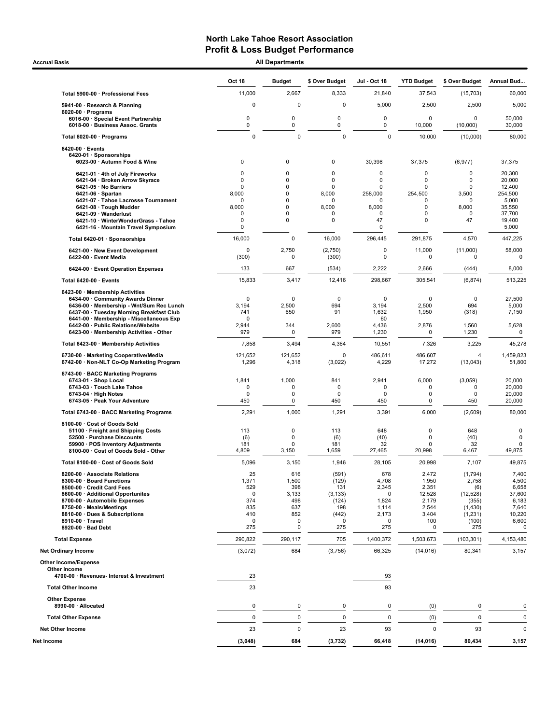Accrual Basis **Accrual Basis All Departments** 

|                                                                                                                                                                                                                                                                                           | Oct 18                                                                                              | <b>Budget</b>                                               | \$ Over Budget                                                                       | Jul - Oct 18                                                                    | <b>YTD Budget</b>                                                        | \$ Over Budget                                                                        | Annual Bud                                                                            |
|-------------------------------------------------------------------------------------------------------------------------------------------------------------------------------------------------------------------------------------------------------------------------------------------|-----------------------------------------------------------------------------------------------------|-------------------------------------------------------------|--------------------------------------------------------------------------------------|---------------------------------------------------------------------------------|--------------------------------------------------------------------------|---------------------------------------------------------------------------------------|---------------------------------------------------------------------------------------|
| Total 5900-00 · Professional Fees                                                                                                                                                                                                                                                         | 11,000                                                                                              | 2,667                                                       | 8,333                                                                                | 21,840                                                                          | 37,543                                                                   | (15, 703)                                                                             | 60,000                                                                                |
| 5941-00 · Research & Planning                                                                                                                                                                                                                                                             | $\mathbf 0$                                                                                         | 0                                                           | $\Omega$                                                                             | 5,000                                                                           | 2,500                                                                    | 2,500                                                                                 | 5,000                                                                                 |
| $6020-00 \cdot$ Programs<br>6016-00 · Special Event Partnership<br>6018-00 · Business Assoc. Grants                                                                                                                                                                                       | 0<br>0                                                                                              | 0<br>0                                                      | 0<br>0                                                                               | 0<br>0                                                                          | 0<br>10,000                                                              | $\Omega$<br>(10,000)                                                                  | 50,000<br>30,000                                                                      |
| Total 6020-00 · Programs                                                                                                                                                                                                                                                                  | $\mathbf 0$                                                                                         | 0                                                           | $\Omega$                                                                             | $\mathbf 0$                                                                     | 10,000                                                                   | (10,000)                                                                              | 80,000                                                                                |
| 6420-00 · Events<br>6420-01 · Sponsorships<br>6023-00 · Autumn Food & Wine                                                                                                                                                                                                                | $\mathbf 0$                                                                                         | 0                                                           | 0                                                                                    | 30,398                                                                          | 37,375                                                                   | (6, 977)                                                                              | 37,375                                                                                |
| 6421-01 · 4th of July Fireworks<br>6421-04 · Broken Arrow Skyrace<br>6421-05 · No Barriers<br>6421-06 · Spartan<br>6421-07 · Tahoe Lacrosse Tournament<br>6421-08 · Tough Mudder<br>6421-09 · Wanderlust<br>6421-10 · WinterWonderGrass - Tahoe<br>6421-16 · Mountain Travel Symposium    | $\mathbf 0$<br>$\mathbf 0$<br>$\mathbf 0$<br>8,000<br>$\mathbf 0$<br>8,000<br>$\mathbf 0$<br>0<br>0 | 0<br>0<br>0<br>0<br>0<br>0<br>0<br>0                        | $\mathbf 0$<br>$\mathbf 0$<br>$\mathbf 0$<br>8,000<br>0<br>8,000<br>0<br>$\mathbf 0$ | 0<br>$\mathbf 0$<br>0<br>258,000<br>$\Omega$<br>8,000<br>$\mathbf 0$<br>47<br>0 | 0<br>0<br>0<br>254,500<br>0<br>0<br>0<br>0                               | 0<br>0<br>0<br>3,500<br>0<br>8,000<br>0<br>47                                         | 20,300<br>20,000<br>12,400<br>254,500<br>5,000<br>35,550<br>37,700<br>19,400<br>5,000 |
| Total 6420-01 · Sponsorships                                                                                                                                                                                                                                                              | 16,000                                                                                              | 0                                                           | 16,000                                                                               | 296,445                                                                         | 291,875                                                                  | 4,570                                                                                 | 447,225                                                                               |
| 6421-00 · New Event Development<br>6422-00 · Event Media                                                                                                                                                                                                                                  | 0<br>(300)                                                                                          | 2,750<br>$\mathbf 0$                                        | (2,750)<br>(300)                                                                     | 0<br>0                                                                          | 11,000<br>0                                                              | (11,000)<br>0                                                                         | 58,000<br>$\mathbf 0$                                                                 |
| 6424-00 · Event Operation Expenses                                                                                                                                                                                                                                                        | 133                                                                                                 | 667                                                         | (534)                                                                                | 2,222                                                                           | 2,666                                                                    | (444)                                                                                 | 8,000                                                                                 |
| Total 6420-00 · Events                                                                                                                                                                                                                                                                    | 15,833                                                                                              | 3,417                                                       | 12,416                                                                               | 298,667                                                                         | 305.541                                                                  | (6, 874)                                                                              | 513,225                                                                               |
| 6423-00 · Membership Activities<br>6434-00 · Community Awards Dinner<br>6436-00 · Membership - Wnt/Sum Rec Lunch<br>6437-00 · Tuesday Morning Breakfast Club<br>6441-00 · Membership - Miscellaneous Exp<br>6442-00 · Public Relations/Website<br>6423-00 · Membership Activities - Other | 0<br>3,194<br>741<br>0<br>2,944                                                                     | $\mathbf 0$<br>2,500<br>650<br>344                          | $\mathbf 0$<br>694<br>91<br>2,600                                                    | $\Omega$<br>3,194<br>1,632<br>60<br>4,436                                       | $\mathbf 0$<br>2,500<br>1,950<br>2,876                                   | $\mathbf 0$<br>694<br>(318)<br>1,560                                                  | 27,500<br>5,000<br>7,150<br>5,628                                                     |
|                                                                                                                                                                                                                                                                                           | 979<br>7,858                                                                                        | 0<br>3,494                                                  | 979                                                                                  | 1,230<br>10,551                                                                 | 0<br>7,326                                                               | 1,230                                                                                 | $\mathbf 0$<br>45,278                                                                 |
| Total 6423-00 · Membership Activities<br>6730-00 · Marketing Cooperative/Media                                                                                                                                                                                                            | 121,652                                                                                             | 121,652                                                     | 4,364<br>$\Omega$                                                                    | 486,611                                                                         | 486,607                                                                  | 3,225<br>$\overline{4}$                                                               | 1,459,823                                                                             |
| 6742-00 · Non-NLT Co-Op Marketing Program                                                                                                                                                                                                                                                 | 1,296                                                                                               | 4,318                                                       | (3,022)                                                                              | 4,229                                                                           | 17,272                                                                   | (13, 043)                                                                             | 51,800                                                                                |
| 6743-00 · BACC Marketing Programs<br>6743-01 · Shop Local<br>6743-03 · Touch Lake Tahoe<br>6743-04 · High Notes<br>6743-05 · Peak Your Adventure                                                                                                                                          | 1,841<br>0<br>0<br>450                                                                              | 1,000<br>0<br>0<br>$\mathbf 0$                              | 841<br>$\mathbf 0$<br>0<br>450                                                       | 2,941<br>0<br>0<br>450                                                          | 6,000<br>0<br>0<br>0                                                     | (3,059)<br>0<br>$\mathbf 0$<br>450                                                    | 20,000<br>20,000<br>20,000<br>20,000                                                  |
| Total 6743-00 · BACC Marketing Programs                                                                                                                                                                                                                                                   | 2,291                                                                                               | 1,000                                                       | 1,291                                                                                | 3,391                                                                           | 6,000                                                                    | (2,609)                                                                               | 80,000                                                                                |
| 8100-00 · Cost of Goods Sold<br>51100 · Freight and Shipping Costs<br>52500 · Purchase Discounts<br>59900 · POS Inventory Adjustments<br>8100-00 · Cost of Goods Sold - Other                                                                                                             | 113<br>(6)<br>181<br>4,809                                                                          | $\mathbf 0$<br>$\mathbf 0$<br>$\mathbf 0$<br>3,150          | 113<br>(6)<br>181<br>1,659                                                           | 648<br>(40)<br>32<br>27,465                                                     | $\Omega$<br>$\Omega$<br>$\mathbf 0$<br>20,998                            | 648<br>(40)<br>32<br>6,467                                                            | $\mathsf 0$<br>$\mathbf 0$<br>$\mathbf 0$<br>49,875                                   |
| Total 8100-00 · Cost of Goods Sold                                                                                                                                                                                                                                                        | 5,096                                                                                               | 3,150                                                       | 1,946                                                                                | 28,105                                                                          | 20,998                                                                   | 7,107                                                                                 | 49,875                                                                                |
| 8200-00 · Associate Relations<br>8300-00 · Board Functions<br>8500-00 · Credit Card Fees<br>8600-00 · Additional Opportunites<br>8700-00 · Automobile Expenses<br>8750-00 · Meals/Meetings<br>8810-00 · Dues & Subscriptions<br>8910-00 · Travel<br>8920-00 · Bad Debt                    | 25<br>1,371<br>529<br>0<br>374<br>835<br>410<br>0<br>275                                            | 616<br>1,500<br>398<br>3,133<br>498<br>637<br>852<br>0<br>0 | (591)<br>(129)<br>131<br>(3, 133)<br>(124)<br>198<br>(442)<br>0<br>275               | 678<br>4,708<br>2,345<br>0<br>1,824<br>1,114<br>2,173<br>0<br>275               | 2,472<br>1,950<br>2,351<br>12,528<br>2,179<br>2,544<br>3,404<br>100<br>0 | (1,794)<br>2,758<br>(6)<br>(12, 528)<br>(355)<br>(1, 430)<br>(1, 231)<br>(100)<br>275 | 7,400<br>4,500<br>6,658<br>37,600<br>6,183<br>7,640<br>10,220<br>6,600<br>0           |
| <b>Total Expense</b>                                                                                                                                                                                                                                                                      | 290,822                                                                                             | 290,117                                                     | 705                                                                                  | 1,400,372                                                                       | 1,503,673                                                                | (103, 301)                                                                            | 4,153,480                                                                             |
| <b>Net Ordinary Income</b>                                                                                                                                                                                                                                                                | (3,072)                                                                                             | 684                                                         | (3,756)                                                                              | 66,325                                                                          | (14, 016)                                                                | 80,341                                                                                | 3,157                                                                                 |
| <b>Other Income/Expense</b><br>Other Income<br>4700-00 · Revenues- Interest & Investment                                                                                                                                                                                                  | 23                                                                                                  |                                                             |                                                                                      | 93                                                                              |                                                                          |                                                                                       |                                                                                       |
| <b>Total Other Income</b>                                                                                                                                                                                                                                                                 | 23                                                                                                  |                                                             |                                                                                      | 93                                                                              |                                                                          |                                                                                       |                                                                                       |
| <b>Other Expense</b><br>8990-00 · Allocated                                                                                                                                                                                                                                               | 0                                                                                                   | 0                                                           | 0                                                                                    | 0                                                                               | (0)                                                                      | 0                                                                                     | 0                                                                                     |
| <b>Total Other Expense</b>                                                                                                                                                                                                                                                                | 0                                                                                                   | 0                                                           | 0                                                                                    | 0                                                                               | (0)                                                                      | $\mathbf 0$                                                                           | 0                                                                                     |
| <b>Net Other Income</b>                                                                                                                                                                                                                                                                   | 23                                                                                                  | 0                                                           | 23                                                                                   | 93                                                                              | 0                                                                        | 93                                                                                    | $\mathbf 0$                                                                           |
| Net Income                                                                                                                                                                                                                                                                                | (3,048)                                                                                             | 684                                                         | (3, 732)                                                                             | 66,418                                                                          | (14, 016)                                                                | 80,434                                                                                | 3,157                                                                                 |
|                                                                                                                                                                                                                                                                                           |                                                                                                     |                                                             |                                                                                      |                                                                                 |                                                                          |                                                                                       |                                                                                       |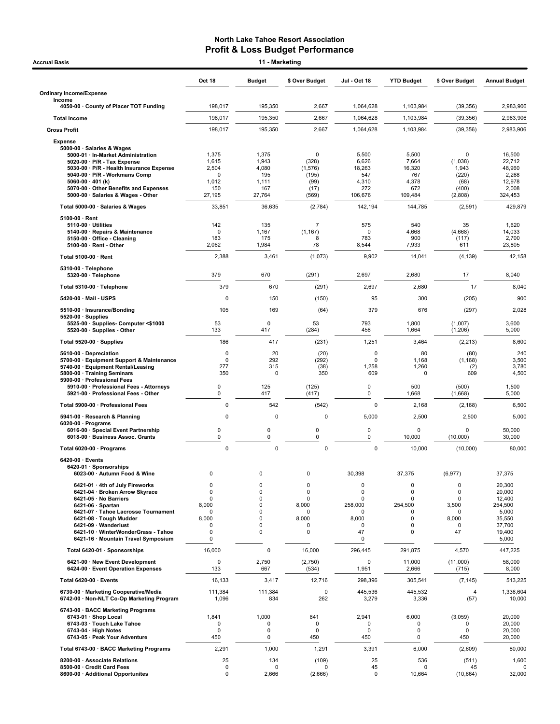| Accrual Basis                                                                                                     |                          | 11 - Marketing   |                            |                  |                   |                      |                      |
|-------------------------------------------------------------------------------------------------------------------|--------------------------|------------------|----------------------------|------------------|-------------------|----------------------|----------------------|
|                                                                                                                   | <b>Oct 18</b>            | <b>Budget</b>    | \$ Over Budget             | Jul - Oct 18     | <b>YTD Budget</b> | \$ Over Budget       | <b>Annual Budget</b> |
| <b>Ordinary Income/Expense</b>                                                                                    |                          |                  |                            |                  |                   |                      |                      |
| Income<br>4050-00 County of Placer TOT Funding                                                                    | 198,017                  | 195,350          | 2,667                      | 1,064,628        | 1,103,984         | (39, 356)            | 2,983,906            |
| <b>Total Income</b>                                                                                               | 198,017                  | 195,350          | 2,667                      | 1.064.628        | 1,103,984         | (39, 356)            | 2,983,906            |
| <b>Gross Profit</b>                                                                                               | 198,017                  | 195,350          | 2,667                      | 1,064,628        | 1,103,984         | (39, 356)            | 2,983,906            |
| <b>Expense</b><br>5000-00 · Salaries & Wages<br>5000-01 · In-Market Administration<br>5020-00 · P/R - Tax Expense | 1,375<br>1,615           | 1,375<br>1,943   | $\mathbf 0$<br>(328)       | 5,500<br>6,626   | 5,500<br>7,664    | 0<br>(1,038)         | 16,500<br>22,712     |
| 5030-00 · P/R - Health Insurance Expense<br>5040-00 · P/R - Workmans Comp                                         | 2,504<br>0               | 4,080<br>195     | (1, 576)<br>(195)          | 18,263<br>547    | 16,320<br>767     | 1,943<br>(220)       | 48,960<br>2,268      |
| 5060-00 $\cdot$ 401 (k)                                                                                           | 1,012                    | 1,111            | (99)                       | 4,310            | 4,378             | (68)                 | 12,978               |
| 5070-00 Other Benefits and Expenses<br>5000-00 · Salaries & Wages - Other                                         | 150<br>27,195            | 167<br>27,764    | (17)<br>(569)              | 272<br>106,676   | 672<br>109,484    | (400)<br>(2,808)     | 2,008<br>324,453     |
| Total 5000-00 · Salaries & Wages                                                                                  | 33,851                   | 36,635           | (2,784)                    | 142,194          | 144,785           | (2,591)              | 429,879              |
| $5100-00 \cdot$ Rent                                                                                              |                          |                  |                            |                  |                   |                      |                      |
| $5110-00 \cdot$ Utilities<br>5140-00 · Repairs & Maintenance                                                      | 142<br>0                 | 135<br>1,167     | $\overline{7}$<br>(1, 167) | 575<br>0         | 540<br>4,668      | 35<br>(4,668)        | 1,620<br>14,033      |
| 5150-00 Office - Cleaning<br>$5100-00 \cdot$ Rent - Other                                                         | 183<br>2,062             | 175<br>1,984     | 8<br>78                    | 783<br>8,544     | 900<br>7,933      | (117)<br>611         | 2,700<br>23,805      |
| Total 5100-00 · Rent                                                                                              | 2,388                    | 3,461            | (1,073)                    | 9,902            | 14,041            | (4, 139)             | 42,158               |
| 5310-00 · Telephone                                                                                               |                          |                  |                            |                  |                   |                      |                      |
| 5320-00 · Telephone                                                                                               | 379                      | 670              | (291)                      | 2,697            | 2,680             | 17                   | 8,040                |
| Total 5310-00 · Telephone                                                                                         | 379                      | 670              | (291)                      | 2,697            | 2,680             | 17                   | 8,040                |
| 5420-00 · Mail - USPS                                                                                             | 0<br>105                 | 150<br>169       | (150)                      | 95<br>379        | 300<br>676        | (205)                | 900                  |
| 5510-00 · Insurance/Bonding<br>$5520-00 \cdot$ Supplies                                                           |                          |                  | (64)                       |                  |                   | (297)                | 2,028                |
| 5525-00 · Supplies- Computer <\$1000<br>5520-00 · Supplies - Other                                                | 53<br>133                | 0<br>417         | 53<br>(284)                | 793<br>458       | 1,800<br>1,664    | (1,007)<br>(1,206)   | 3,600<br>5,000       |
| Total 5520-00 · Supplies                                                                                          | 186                      | 417              | (231)                      | 1,251            | 3,464             | (2, 213)             | 8,600                |
| 5610-00 Depreciation<br>5700-00 · Equipment Support & Maintenance                                                 | 0<br>0                   | 20<br>292        | (20)<br>(292)              | $\mathbf 0$<br>0 | 80<br>1,168       | (80)<br>(1, 168)     | 240<br>3,500         |
| 5740-00 · Equipment Rental/Leasing                                                                                | 277                      | 315              | (38)                       | 1,258            | 1,260             | (2)                  | 3,780                |
| 5800-00 · Training Seminars<br>5900-00 · Professional Fees                                                        | 350                      | 0                | 350                        | 609              | $\mathbf 0$       | 609                  | 4,500                |
| 5910-00 · Professional Fees - Attorneys<br>5921-00 · Professional Fees - Other                                    | 0<br>$\mathbf 0$         | 125<br>417       | (125)<br>(417)             | 0<br>0           | 500<br>1,668      | (500)<br>(1,668)     | 1,500<br>5,000       |
| Total 5900-00 · Professional Fees                                                                                 | 0                        | 542              | (542)                      | $\mathbf 0$      | 2,168             | (2, 168)             | 6,500                |
| 5941-00 · Research & Planning                                                                                     | $\mathbf 0$              | $\mathbf 0$      | 0                          | 5,000            | 2,500             | 2,500                | 5,000                |
| $6020-00 \cdot$ Programs<br>6016-00 · Special Event Partnership                                                   | 0                        | 0                | $\mathsf 0$                | $\pmb{0}$        | 0                 | 0                    | 50,000               |
| 6018-00 · Business Assoc. Grants                                                                                  | 0                        | 0                | 0                          | 0                | 10,000            | (10,000)             | 30,000               |
| Total 6020-00 · Programs                                                                                          | $\mathbf 0$              | $\mathbf 0$      | 0                          | $\mathbf 0$      | 10,000            | (10,000)             | 80,000               |
| 6420-00 · Events<br>6420-01 · Sponsorships<br>6023-00 · Autumn Food & Wine                                        | 0                        | 0                | 0                          | 30,398           | 37,375            | (6, 977)             | 37,375               |
| 6421-01 · 4th of July Fireworks<br>6421-04 · Broken Arrow Skvrace                                                 | $\Omega$<br>0            | $\mathbf 0$<br>0 | $\mathbf 0$<br>$\mathbf 0$ | 0<br>0           | 0<br>0            | $\mathbf 0$<br>0     | 20,300<br>20,000     |
| 6421-05 · No Barriers<br>6421-06 · Spartan                                                                        | $\Omega$<br>8,000        | 0<br>0           | $\mathbf 0$<br>8,000       | 0<br>258,000     | 0<br>254,500      | $\mathbf 0$<br>3,500 | 12,400<br>254,500    |
| 6421-07 · Tahoe Lacrosse Tournament                                                                               | O                        | $\Omega$<br>0    | $\mathbf 0$                | $\Omega$         | ŋ                 | $\Omega$             | 5,000                |
| 6421-08 · Tough Mudder<br>6421-09 · Wanderlust                                                                    | 8,000<br>$\Omega$        | 0                | 8,000<br>$\mathbf 0$       | 8,000<br>0       | 0<br>$\Omega$     | 8,000<br>$\mathbf 0$ | 35,550<br>37,700     |
| 6421-10 · WinterWonderGrass - Tahoe<br>6421-16 · Mountain Travel Symposium                                        | $\Omega$<br>0            | 0                | $\mathbf 0$                | 47<br>0          | $\Omega$          | 47                   | 19,400<br>5,000      |
| Total 6420-01 · Sponsorships                                                                                      | 16,000                   | 0                | 16,000                     | 296,445          | 291,875           | 4,570                | 447,225              |
| 6421-00 · New Event Development<br>6424-00 · Event Operation Expenses                                             | 0<br>133                 | 2,750<br>667     | (2,750)<br>(534)           | 0<br>1,951       | 11,000<br>2,666   | (11,000)<br>(715)    | 58,000<br>8,000      |
| Total 6420-00 · Events                                                                                            | 16,133                   | 3,417            | 12,716                     | 298,396          | 305,541           | (7, 145)             | 513,225              |
| 6730-00 · Marketing Cooperative/Media<br>6742-00 · Non-NLT Co-Op Marketing Program                                | 111,384<br>1,096         | 111,384<br>834   | $\mathbf 0$<br>262         | 445,536<br>3,279 | 445,532<br>3,336  | 4<br>(57)            | 1,336,604<br>10,000  |
| 6743-00 · BACC Marketing Programs<br>6743-01 · Shop Local                                                         | 1,841                    | 1,000            | 841                        | 2,941            | 6,000             | (3,059)              | 20,000               |
| 6743-03 · Touch Lake Tahoe                                                                                        | 0                        | 0                | $\mathsf 0$                | 0                | 0                 | 0                    | 20,000               |
| $6743-04 \cdot$ High Notes<br>6743-05 · Peak Your Adventure                                                       | 0<br>450                 | 0<br>0           | $\mathbf 0$<br>450         | 0<br>450         | 0<br>0            | $\mathbf 0$<br>450   | 20,000<br>20,000     |
| Total 6743-00 · BACC Marketing Programs                                                                           | 2,291                    | 1,000            | 1,291                      | 3,391            | 6,000             | (2,609)              | 80,000               |
| 8200-00 · Associate Relations                                                                                     | 25                       | 134              | (109)                      | 25               | 536               | (511)                | 1,600                |
| 8500-00 · Credit Card Fees<br>8600-00 · Additional Opportunites                                                   | $\pmb{0}$<br>$\mathbf 0$ | 0<br>2,666       | 0<br>(2,666)               | 45<br>0          | 0<br>10,664       | 45<br>(10, 664)      | 32,000               |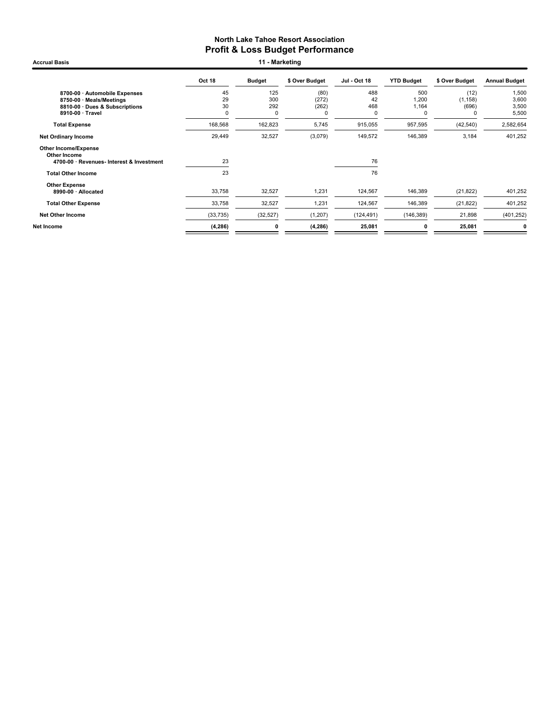Accrual Basis **11 - Marketing** 

|                                                    | Oct 18    | <b>Budget</b> | \$ Over Budget | <b>Jul - Oct 18</b> | <b>YTD Budget</b> | \$ Over Budget | <b>Annual Budget</b> |
|----------------------------------------------------|-----------|---------------|----------------|---------------------|-------------------|----------------|----------------------|
| 8700-00 · Automobile Expenses                      | 45        | 125           | (80)           | 488                 | 500               | (12)           | 1,500                |
| 8750-00 · Meals/Meetings                           | 29        | 300           | (272)          | 42                  | 1,200             | (1, 158)       | 3,600                |
| 8810-00 · Dues & Subscriptions<br>8910-00 · Travel | 30<br>0   | 292<br>0      | (262)<br>C     | 468<br>0            | 1,164<br>0        | (696)          | 3,500<br>5,500       |
|                                                    |           |               |                |                     |                   |                |                      |
| <b>Total Expense</b>                               | 168,568   | 162,823       | 5,745          | 915,055             | 957,595           | (42, 540)      | 2,582,654            |
| <b>Net Ordinary Income</b>                         | 29,449    | 32,527        | (3,079)        | 149,572             | 146,389           | 3,184          | 401,252              |
| <b>Other Income/Expense</b><br>Other Income        |           |               |                |                     |                   |                |                      |
| 4700-00 · Revenues- Interest & Investment          | 23        |               |                | 76                  |                   |                |                      |
| <b>Total Other Income</b>                          | 23        |               |                | 76                  |                   |                |                      |
| <b>Other Expense</b>                               |           |               |                |                     |                   |                |                      |
| 8990-00 · Allocated                                | 33,758    | 32,527        | 1,231          | 124,567             | 146,389           | (21, 822)      | 401,252              |
| <b>Total Other Expense</b>                         | 33,758    | 32,527        | 1,231          | 124,567             | 146,389           | (21, 822)      | 401,252              |
| <b>Net Other Income</b>                            | (33, 735) | (32, 527)     | (1, 207)       | (124, 491)          | (146, 389)        | 21,898         | (401, 252)           |
| Net Income                                         | (4, 286)  | 0             | (4, 286)       | 25,081              | 0                 | 25,081         | 0                    |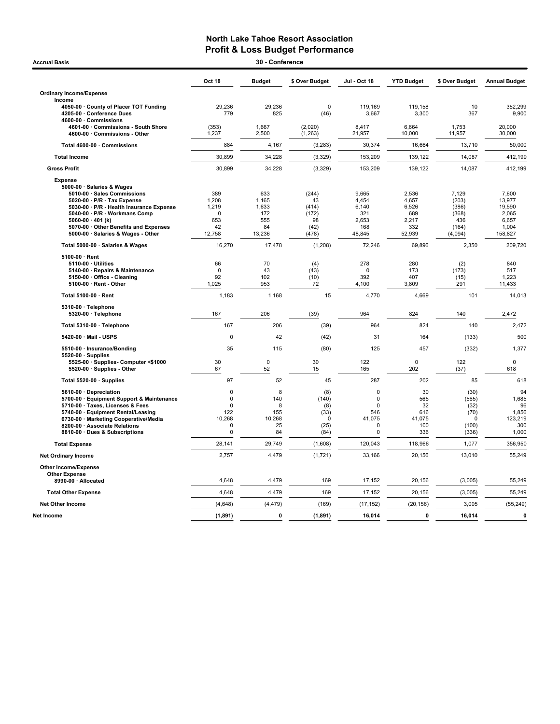| <b>Accrual Basis</b>                                                                       |                    | 30 - Conference |                     |                    |                   |                 |                      |
|--------------------------------------------------------------------------------------------|--------------------|-----------------|---------------------|--------------------|-------------------|-----------------|----------------------|
|                                                                                            | Oct 18             | <b>Budget</b>   | \$ Over Budget      | Jul - Oct 18       | <b>YTD Budget</b> | \$ Over Budget  | <b>Annual Budget</b> |
| <b>Ordinary Income/Expense</b>                                                             |                    |                 |                     |                    |                   |                 |                      |
| Income                                                                                     |                    |                 |                     |                    |                   |                 |                      |
| 4050-00 · County of Placer TOT Funding<br>4205-00 · Conference Dues<br>4600-00 Commissions | 29,236<br>779      | 29,236<br>825   | $\mathbf 0$<br>(46) | 119,169<br>3,667   | 119,158<br>3,300  | 10<br>367       | 352,299<br>9,900     |
| 4601-00 Commissions - South Shore<br>4600-00 · Commissions - Other                         | (353)<br>1,237     | 1,667<br>2,500  | (2,020)<br>(1,263)  | 8,417<br>21,957    | 6,664<br>10,000   | 1,753<br>11,957 | 20,000<br>30,000     |
| Total 4600-00 · Commissions                                                                | 884                | 4,167           | (3, 283)            | 30,374             | 16,664            | 13,710          | 50,000               |
| <b>Total Income</b>                                                                        | 30,899             | 34,228          | (3, 329)            | 153,209            | 139,122           | 14,087          | 412,199              |
| <b>Gross Profit</b>                                                                        | 30,899             | 34,228          | (3, 329)            | 153,209            | 139,122           | 14,087          | 412,199              |
| <b>Expense</b>                                                                             |                    |                 |                     |                    |                   |                 |                      |
| 5000-00 · Salaries & Wages                                                                 |                    |                 |                     |                    |                   |                 |                      |
| 5010-00 · Sales Commissions                                                                | 389                | 633             | (244)               | 9,665              | 2,536             | 7,129           | 7,600                |
| 5020-00 · P/R - Tax Expense                                                                | 1,208              | 1,165           | 43                  | 4,454              | 4,657             | (203)           | 13,977               |
| 5030-00 · P/R - Health Insurance Expense                                                   | 1,219              | 1,633           | (414)               | 6,140              | 6,526             | (386)           | 19,590               |
| 5040-00 · P/R - Workmans Comp<br>5060-00 $\cdot$ 401 (k)                                   | $\mathbf 0$<br>653 | 172<br>555      | (172)<br>98         | 321<br>2,653       | 689<br>2,217      | (368)<br>436    | 2,065<br>6,657       |
| 5070-00 Other Benefits and Expenses                                                        | 42                 | 84              | (42)                | 168                | 332               | (164)           | 1,004                |
| 5000-00 · Salaries & Wages - Other                                                         | 12,758             | 13,236          | (478)               | 48,845             | 52,939            | (4,094)         | 158,827              |
| Total 5000-00 · Salaries & Wages                                                           | 16,270             | 17,478          | (1,208)             | 72,246             | 69,896            | 2,350           | 209,720              |
| 5100-00 · Rent                                                                             |                    |                 |                     |                    |                   |                 |                      |
| 5110-00 · Utilities                                                                        | 66                 | 70              | (4)                 | 278                | 280               | (2)             | 840                  |
| 5140-00 · Repairs & Maintenance                                                            | 0                  | 43              | (43)                | 0                  | 173               | (173)           | 517                  |
| 5150-00 Office - Cleaning                                                                  | 92                 | 102             | (10)                | 392                | 407               | (15)            | 1,223                |
| 5100-00 · Rent - Other                                                                     | 1,025              | 953             | 72                  | 4,100              | 3,809             | 291             | 11,433               |
| Total 5100-00 · Rent                                                                       | 1,183              | 1.168           | 15                  | 4,770              | 4,669             | 101             | 14.013               |
| 5310-00 · Telephone                                                                        | 167                | 206             |                     | 964                | 824               | 140             | 2,472                |
| 5320-00 · Telephone                                                                        |                    |                 | (39)                |                    |                   |                 |                      |
| Total 5310-00 · Telephone                                                                  | 167                | 206             | (39)                | 964                | 824               | 140             | 2,472                |
| 5420-00 Mail - USPS                                                                        | $\Omega$           | 42              | (42)                | 31                 | 164               | (133)           | 500                  |
| 5510-00 · Insurance/Bonding<br>$5520-00 \cdot$ Supplies                                    | 35                 | 115             | (80)                | 125                | 457               | (332)           | 1,377                |
| 5525-00 · Supplies- Computer <\$1000                                                       | 30                 | $\mathbf 0$     | 30                  | 122                | $\Omega$          | 122             | $\mathbf 0$          |
| 5520-00 · Supplies - Other                                                                 | 67                 | 52              | 15                  | 165                | 202               | (37)            | 618                  |
| Total 5520-00 · Supplies                                                                   | 97                 | 52              | 45                  | 287                | 202               | 85              | 618                  |
| 5610-00 Depreciation                                                                       | $\mathbf 0$        | 8               | (8)                 | $\mathbf 0$        | 30                | (30)            | 94                   |
| 5700-00 · Equipment Support & Maintenance                                                  | 0                  | 140             | (140)               | $\mathbf 0$        | 565               | (565)           | 1,685                |
| 5710-00 · Taxes, Licenses & Fees<br>5740-00 · Equipment Rental/Leasing                     | 0<br>122           | 8<br>155        | (8)<br>(33)         | $\mathbf 0$<br>546 | 32<br>616         | (32)<br>(70)    | 96<br>1,856          |
| 6730-00 · Marketing Cooperative/Media                                                      | 10,268             | 10,268          | $\mathbf 0$         | 41,075             | 41,075            | $\mathbf 0$     | 123,219              |
| 8200-00 · Associate Relations                                                              | 0                  | 25              | (25)                | $\mathbf 0$        | 100               | (100)           | 300                  |
| 8810-00 · Dues & Subscriptions                                                             | $\mathbf 0$        | 84              | (84)                | $\mathbf 0$        | 336               | (336)           | 1,000                |
| <b>Total Expense</b>                                                                       | 28,141             | 29,749          | (1,608)             | 120,043            | 118,966           | 1,077           | 356,950              |
| Net Ordinary Income                                                                        | 2,757              | 4,479           | (1, 721)            | 33,166             | 20,156            | 13,010          | 55,249               |
| Other Income/Expense                                                                       |                    |                 |                     |                    |                   |                 |                      |
| <b>Other Expense</b><br>8990-00 · Allocated                                                | 4,648              | 4,479           | 169                 | 17,152             | 20,156            | (3,005)         | 55,249               |
| <b>Total Other Expense</b>                                                                 | 4,648              | 4,479           | 169                 | 17,152             | 20,156            | (3,005)         | 55,249               |
| <b>Net Other Income</b>                                                                    | (4,648)            | (4, 479)        | (169)               | (17, 152)          | (20, 156)         | 3,005           | (55, 249)            |
| Net Income                                                                                 |                    | $\mathbf 0$     |                     | 16,014             | 0                 |                 | $\pmb{0}$            |
|                                                                                            | (1, 891)           |                 | (1, 891)            |                    |                   | 16,014          |                      |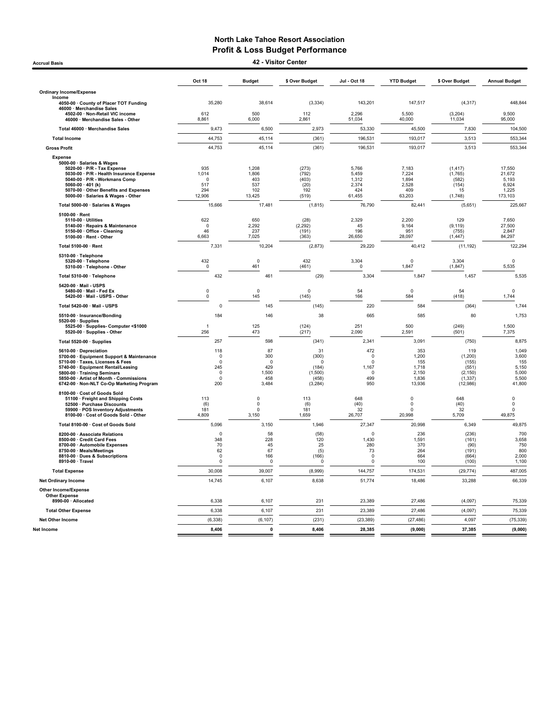Accrual Basis 42 - Visitor Center

|                                                                                                                                                                                                                                                                      | Oct 18                                                              | <b>Budget</b>                                         | \$ Over Budget                                                   | Jul - Oct 18                                                    | <b>YTD Budget</b>                                        | \$ Over Budget                                                        | <b>Annual Budget</b>                                       |
|----------------------------------------------------------------------------------------------------------------------------------------------------------------------------------------------------------------------------------------------------------------------|---------------------------------------------------------------------|-------------------------------------------------------|------------------------------------------------------------------|-----------------------------------------------------------------|----------------------------------------------------------|-----------------------------------------------------------------------|------------------------------------------------------------|
| <b>Ordinary Income/Expense</b>                                                                                                                                                                                                                                       |                                                                     |                                                       |                                                                  |                                                                 |                                                          |                                                                       |                                                            |
| Income<br>4050-00 · County of Placer TOT Funding<br>46000 · Merchandise Sales                                                                                                                                                                                        | 35,280                                                              | 38,614                                                | (3, 334)                                                         | 143,201                                                         | 147,517                                                  | (4, 317)                                                              | 448,844                                                    |
| 4502-00 · Non-Retail VIC income<br>46000 · Merchandise Sales - Other                                                                                                                                                                                                 | 612<br>8,861                                                        | 500<br>6,000                                          | 112<br>2,861                                                     | 2,296<br>51,034                                                 | 5,500<br>40,000                                          | (3,204)<br>11,034                                                     | 9,500<br>95,000                                            |
| Total 46000 · Merchandise Sales                                                                                                                                                                                                                                      | 9,473                                                               | 6,500                                                 | 2,973                                                            | 53,330                                                          | 45,500                                                   | 7,830                                                                 | 104,500                                                    |
| <b>Total Income</b>                                                                                                                                                                                                                                                  | 44,753                                                              | 45,114                                                | (361)                                                            | 196,531                                                         | 193,017                                                  | 3,513                                                                 | 553,344                                                    |
| <b>Gross Profit</b>                                                                                                                                                                                                                                                  | 44,753                                                              | 45,114                                                | (361)                                                            | 196,531                                                         | 193,017                                                  | 3,513                                                                 | 553,344                                                    |
| Expense<br>5000-00 · Salaries & Wages<br>5020-00 · P/R - Tax Expense<br>5030-00 · P/R - Health Insurance Expense<br>5040-00 · P/R - Workmans Comp<br>5060-00 $\cdot$ 401 (k)<br>5070-00 · Other Benefits and Expenses<br>5000-00 · Salaries & Wages - Other          | 935<br>1,014<br>$\Omega$<br>517<br>294<br>12,906                    | 1,208<br>1,806<br>403<br>537<br>102<br>13,425         | (273)<br>(792)<br>(403)<br>(20)<br>192<br>(519)                  | 5,766<br>5,459<br>1.312<br>2,374<br>424<br>61,455               | 7,183<br>7,224<br>1.894<br>2,528<br>409<br>63,203        | (1, 417)<br>(1,765)<br>(582)<br>(154)<br>15<br>(1,748)                | 17,550<br>21,672<br>5.193<br>6,924<br>1,225<br>173,103     |
| Total 5000-00 · Salaries & Wages                                                                                                                                                                                                                                     | 15,666                                                              | 17,481                                                | (1, 815)                                                         | 76,790                                                          | 82,441                                                   | (5,651)                                                               | 225,667                                                    |
| 5100-00 · Rent<br>5110-00 · Utilities<br>5140-00 · Repairs & Maintenance<br>5150-00 · Office - Cleaning<br>5100-00 · Rent - Other                                                                                                                                    | 622<br>$\mathbf 0$<br>46<br>6,663                                   | 650<br>2,292<br>237<br>7,025                          | (28)<br>(2, 292)<br>(191)<br>(363)                               | 2,329<br>45<br>196<br>26,650                                    | 2,200<br>9,164<br>951<br>28,097                          | 129<br>(9, 119)<br>(755)<br>(1, 447)                                  | 7,650<br>27,500<br>2,847<br>84,297                         |
| Total 5100-00 · Rent                                                                                                                                                                                                                                                 | 7,331                                                               | 10,204                                                | (2, 873)                                                         | 29,220                                                          | 40,412                                                   | (11, 192)                                                             | 122,294                                                    |
| 5310-00 · Telephone<br>5320-00 · Telephone<br>5310-00 · Telephone - Other                                                                                                                                                                                            | 432<br>$\mathsf 0$                                                  | $\pmb{0}$<br>461                                      | 432<br>(461)                                                     | 3,304<br>$\Omega$                                               | $\mathbf 0$<br>1,847                                     | 3,304<br>(1, 847)                                                     | $\mathbf 0$<br>5,535                                       |
| Total 5310-00 · Telephone                                                                                                                                                                                                                                            | 432                                                                 | 461                                                   | (29)                                                             | 3,304                                                           | 1,847                                                    | 1,457                                                                 | 5,535                                                      |
| 5420-00 · Mail - USPS<br>5480-00 · Mail - Fed Ex<br>5420-00 · Mail - USPS - Other                                                                                                                                                                                    | 0<br>$\mathsf 0$                                                    | $\mathsf 0$<br>145                                    | $\mathbf 0$<br>(145)                                             | 54<br>166                                                       | $\mathbf 0$<br>584                                       | 54<br>(418)                                                           | $\Omega$<br>1,744                                          |
| Total 5420-00 · Mail - USPS                                                                                                                                                                                                                                          | 0                                                                   | 145                                                   | (145)                                                            | 220                                                             | 584                                                      | (364)                                                                 | 1,744                                                      |
| 5510-00 · Insurance/Bonding                                                                                                                                                                                                                                          | 184                                                                 | 146                                                   | 38                                                               | 665                                                             | 585                                                      | 80                                                                    | 1,753                                                      |
| $5520-00 \cdot$ Supplies<br>5525-00 · Supplies- Computer <\$1000<br>5520-00 · Supplies - Other                                                                                                                                                                       | $\overline{1}$<br>256                                               | 125<br>473                                            | (124)<br>(217)                                                   | 251<br>2,090                                                    | 500<br>2,591                                             | (249)<br>(501)                                                        | 1,500<br>7,375                                             |
| Total 5520-00 · Supplies                                                                                                                                                                                                                                             | 257                                                                 | 598                                                   | (341)                                                            | 2,341                                                           | 3,091                                                    | (750)                                                                 | 8,875                                                      |
| 5610-00 · Depreciation<br>5700-00 · Equipment Support & Maintenance<br>5710-00 · Taxes, Licenses & Fees<br>5740-00 · Equipment Rental/Leasing<br>5800-00 · Training Seminars<br>5850-00 · Artist of Month - Commissions<br>6742-00 · Non-NLT Co-Op Marketing Program | 118<br>$\Omega$<br>$\Omega$<br>245<br>$^{\circ}$<br>$\Omega$<br>200 | 87<br>300<br>$\Omega$<br>429<br>1,500<br>458<br>3,484 | 31<br>(300)<br>$\Omega$<br>(184)<br>(1,500)<br>(458)<br>(3, 284) | 472<br>$\pmb{0}$<br>$\Omega$<br>1,167<br>$\Omega$<br>499<br>950 | 353<br>1,200<br>155<br>1,718<br>2,150<br>1,836<br>13,936 | 119<br>(1, 200)<br>(155)<br>(551)<br>(2, 150)<br>(1, 337)<br>(12,986) | 1,049<br>3,600<br>155<br>5,150<br>5,000<br>5,500<br>41,800 |
| 8100-00 · Cost of Goods Sold<br>51100 · Freight and Shipping Costs<br>52500 · Purchase Discounts<br>59900 · POS Inventory Adjustments<br>8100-00 · Cost of Goods Sold - Other                                                                                        | 113<br>(6)<br>181<br>4,809                                          | $\mathbf 0$<br>0<br>$\Omega$<br>3,150                 | 113<br>(6)<br>181<br>1,659                                       | 648<br>(40)<br>32<br>26,707                                     | $\mathbf 0$<br>0<br>$\Omega$<br>20,998                   | 648<br>(40)<br>32<br>5,709                                            | $\mathbf 0$<br>0<br>$\Omega$<br>49,875                     |
| Total 8100-00 · Cost of Goods Sold                                                                                                                                                                                                                                   | 5,096                                                               | 3,150                                                 | 1,946                                                            | 27,347                                                          | 20,998                                                   | 6,349                                                                 | 49,875                                                     |
| 8200-00 · Associate Relations<br>8500-00 · Credit Card Fees<br>8700-00 · Automobile Expenses<br>8750-00 · Meals/Meetings<br>8810-00 Dues & Subscriptions<br>8910-00 · Travel                                                                                         | $\Omega$<br>348<br>70<br>62<br>$\mathsf 0$<br>$\mathbf 0$           | 58<br>228<br>45<br>67<br>166<br>$\mathbf 0$           | (58)<br>120<br>25<br>(5)<br>(166)<br>$^{\circ}$                  | $\Omega$<br>1,430<br>280<br>73<br>$\pmb{0}$<br>$\mathbf 0$      | 236<br>1,591<br>370<br>264<br>664<br>100                 | (236)<br>(161)<br>(90)<br>(191)<br>(664)<br>(100)                     | 700<br>3,658<br>750<br>800<br>2,000<br>1,100               |
| <b>Total Expense</b>                                                                                                                                                                                                                                                 | 30,008                                                              | 39,007                                                | (8,999)                                                          | 144,757                                                         | 174,531                                                  | (29, 774)                                                             | 487,005                                                    |
| <b>Net Ordinary Income</b>                                                                                                                                                                                                                                           | 14,745                                                              | 6,107                                                 | 8,638                                                            | 51,774                                                          | 18,486                                                   | 33,288                                                                | 66,339                                                     |
| <b>Other Income/Expense</b><br><b>Other Expense</b>                                                                                                                                                                                                                  |                                                                     |                                                       |                                                                  |                                                                 |                                                          |                                                                       |                                                            |
| 8990-00 · Allocated                                                                                                                                                                                                                                                  | 6,338                                                               | 6,107                                                 | 231                                                              | 23,389                                                          | 27,486                                                   | (4.097)                                                               | 75,339                                                     |
| <b>Total Other Expense</b>                                                                                                                                                                                                                                           | 6,338                                                               | 6,107                                                 | 231                                                              | 23,389                                                          | 27,486                                                   | (4.097)                                                               | 75,339                                                     |
| <b>Net Other Income</b><br>Net Income                                                                                                                                                                                                                                | (6, 338)<br>8,406                                                   | (6, 107)<br>$\Omega$                                  | (231)<br>8,406                                                   | (23, 389)<br>28,385                                             | (27, 486)<br>(9,000)                                     | 4,097<br>37,385                                                       | (75, 339)<br>(9,000)                                       |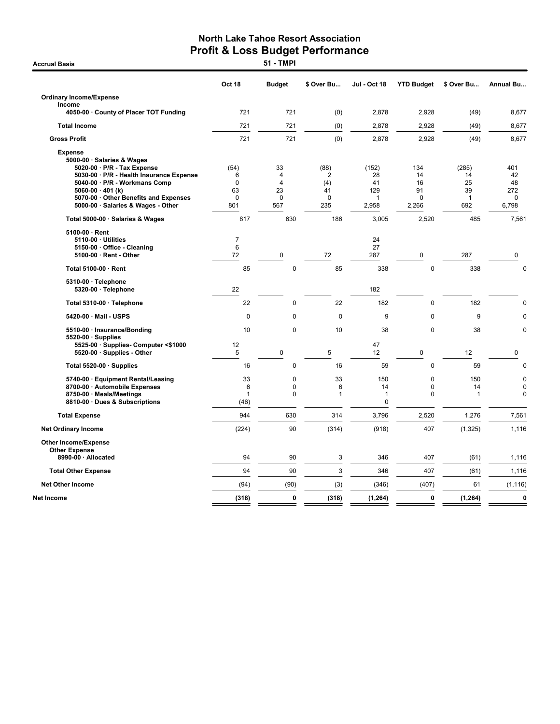|                                                                                                                                                                                                                                                                  | <b>Oct 18</b>                                     | <b>Budget</b>                         | \$ Over Bu                                | <b>Jul - Oct 18</b>                      | <b>YTD Budget</b>                          | \$ Over Bu                                     | <b>Annual Bu</b>                            |
|------------------------------------------------------------------------------------------------------------------------------------------------------------------------------------------------------------------------------------------------------------------|---------------------------------------------------|---------------------------------------|-------------------------------------------|------------------------------------------|--------------------------------------------|------------------------------------------------|---------------------------------------------|
| <b>Ordinary Income/Expense</b><br>Income                                                                                                                                                                                                                         |                                                   |                                       |                                           |                                          |                                            |                                                |                                             |
| 4050-00 · County of Placer TOT Funding                                                                                                                                                                                                                           | 721                                               | 721                                   | (0)                                       | 2,878                                    | 2,928                                      | (49)                                           | 8,677                                       |
| <b>Total Income</b>                                                                                                                                                                                                                                              | 721                                               | 721                                   | (0)                                       | 2,878                                    | 2,928                                      | (49)                                           | 8,677                                       |
| <b>Gross Profit</b>                                                                                                                                                                                                                                              | 721                                               | 721                                   | (0)                                       | 2,878                                    | 2,928                                      | (49)                                           | 8,677                                       |
| <b>Expense</b><br>5000-00 · Salaries & Wages<br>5020-00 · P/R - Tax Expense<br>5030-00 · P/R - Health Insurance Expense<br>5040-00 · P/R - Workmans Comp<br>5060-00 $\cdot$ 401 (k)<br>5070-00 Other Benefits and Expenses<br>5000-00 · Salaries & Wages - Other | (54)<br>6<br>$\mathbf 0$<br>63<br>$\Omega$<br>801 | 33<br>4<br>4<br>23<br>$\Omega$<br>567 | (88)<br>2<br>(4)<br>41<br>$\Omega$<br>235 | (152)<br>28<br>41<br>129<br>1<br>2,958   | 134<br>14<br>16<br>91<br>$\Omega$<br>2,266 | (285)<br>14<br>25<br>39<br>$\mathbf{1}$<br>692 | 401<br>42<br>48<br>272<br>$\Omega$<br>6,798 |
| Total 5000-00 · Salaries & Wages                                                                                                                                                                                                                                 | 817                                               | 630                                   | 186                                       | 3,005                                    | 2,520                                      | 485                                            | 7,561                                       |
| $5100-00 \cdot$ Rent<br>5110-00 · Utilities<br>5150-00 · Office - Cleaning<br>5100-00 · Rent - Other                                                                                                                                                             | 7<br>6<br>72                                      | 0                                     | 72                                        | 24<br>27<br>287                          | 0                                          | 287                                            | 0                                           |
| Total 5100-00 · Rent                                                                                                                                                                                                                                             | 85                                                | $\mathbf 0$                           | 85                                        | 338                                      | $\mathbf 0$                                | 338                                            | $\mathbf 0$                                 |
| 5310-00 · Telephone<br>5320-00 · Telephone                                                                                                                                                                                                                       | 22                                                |                                       |                                           | 182                                      |                                            |                                                |                                             |
| Total 5310-00 · Telephone                                                                                                                                                                                                                                        | 22                                                | 0                                     | 22                                        | 182                                      | $\mathbf 0$                                | 182                                            | 0                                           |
| 5420-00 · Mail - USPS                                                                                                                                                                                                                                            | $\mathbf 0$                                       | 0                                     | $\mathbf 0$                               | 9                                        | $\mathbf 0$                                | 9                                              | $\mathbf 0$                                 |
| 5510-00 · Insurance/Bonding<br>$5520-00 \cdot$ Supplies                                                                                                                                                                                                          | 10                                                | $\mathbf 0$                           | 10                                        | 38                                       | $\mathbf 0$                                | 38                                             | $\mathbf 0$                                 |
| 5525-00 · Supplies- Computer <\$1000<br>5520-00 · Supplies - Other                                                                                                                                                                                               | 12<br>5                                           | $\pmb{0}$                             | 5                                         | 47<br>12                                 | 0                                          | 12                                             | 0                                           |
| Total 5520-00 $\cdot$ Supplies                                                                                                                                                                                                                                   | 16                                                | 0                                     | 16                                        | 59                                       | $\mathbf 0$                                | 59                                             | $\mathbf 0$                                 |
| 5740-00 · Equipment Rental/Leasing<br>8700-00 · Automobile Expenses<br>8750-00 · Meals/Meetings<br>8810-00 · Dues & Subscriptions                                                                                                                                | 33<br>6<br>1<br>(46)                              | 0<br>0<br>0                           | 33<br>6<br>1                              | 150<br>14<br>$\mathbf{1}$<br>$\mathbf 0$ | 0<br>$\mathbf 0$<br>$\mathbf 0$            | 150<br>14<br>$\overline{1}$                    | $\mathbf 0$<br>$\mathbf 0$<br>$\mathbf 0$   |
| <b>Total Expense</b>                                                                                                                                                                                                                                             | 944                                               | 630                                   | 314                                       | 3,796                                    | 2,520                                      | 1,276                                          | 7,561                                       |
| <b>Net Ordinary Income</b>                                                                                                                                                                                                                                       | (224)                                             | 90                                    | (314)                                     | (918)                                    | 407                                        | (1, 325)                                       | 1,116                                       |
| <b>Other Income/Expense</b><br><b>Other Expense</b>                                                                                                                                                                                                              |                                                   |                                       |                                           |                                          |                                            |                                                |                                             |
| 8990-00 · Allocated                                                                                                                                                                                                                                              | 94                                                | 90                                    | 3                                         | 346                                      | 407                                        | (61)                                           | 1,116                                       |
| <b>Total Other Expense</b>                                                                                                                                                                                                                                       | 94                                                | 90                                    | 3                                         | 346                                      | 407                                        | (61)                                           | 1,116                                       |
| <b>Net Other Income</b>                                                                                                                                                                                                                                          | (94)                                              | (90)                                  | (3)                                       | (346)                                    | (407)                                      | 61                                             | (1, 116)                                    |
| Net Income                                                                                                                                                                                                                                                       | (318)                                             | $\mathbf{0}$                          | (318)                                     | (1, 264)                                 | 0                                          | (1, 264)                                       | $\pmb{0}$                                   |

**Accrual Basis**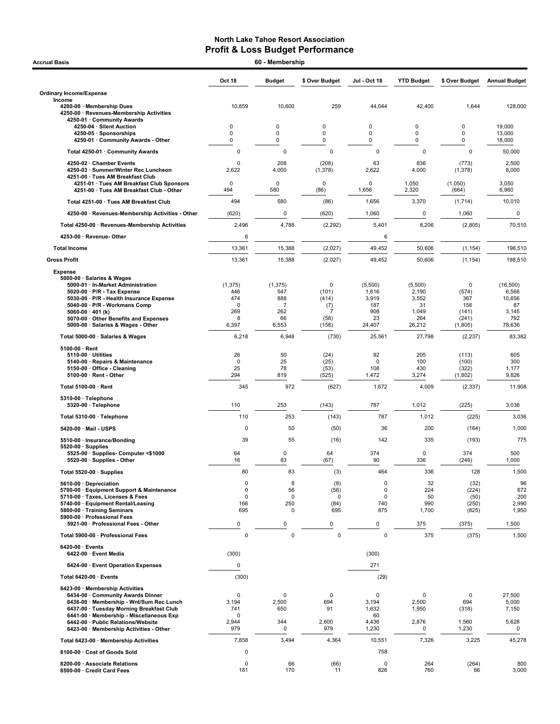| <b>Accrual Basis</b>                                                                                                  |                      | 60 - Membership    |                      |                |                    |                     |                      |
|-----------------------------------------------------------------------------------------------------------------------|----------------------|--------------------|----------------------|----------------|--------------------|---------------------|----------------------|
|                                                                                                                       | Oct 18               | <b>Budget</b>      | \$ Over Budget       | Jul - Oct 18   | <b>YTD Budget</b>  | \$ Over Budget      | <b>Annual Budget</b> |
| <b>Ordinary Income/Expense</b>                                                                                        |                      |                    |                      |                |                    |                     |                      |
| Income<br>4200-00 · Membership Dues<br>4250-00 · Revenues-Membership Activities<br>4250-01 · Community Awards         | 10,859               | 10,600             | 259                  | 44,044         | 42,400             | 1,644               | 128,000              |
| 4250-04 · Silent Auction                                                                                              | 0                    | 0                  | 0                    | 0              | 0                  | $\mathbf 0$         | 19,000               |
| 4250-05 · Sponsorships<br>4250-01 Community Awards - Other                                                            | 0<br>0               | 0<br>0             | 0<br>0               | 0<br>0         | 0<br>0             | $\mathbf 0$<br>0    | 13,000<br>18,000     |
| Total 4250-01 · Community Awards                                                                                      | $\pmb{0}$            | 0                  | $\pmb{0}$            | 0              | 0                  | $\mathsf 0$         | 50,000               |
| 4250-02 · Chamber Events                                                                                              | $\Omega$             | 208                | (208)                | 63             | 836                | (773)               | 2,500                |
| 4250-03 · Summer/Winter Rec Luncheon<br>4251-00 · Tues AM Breakfast Club<br>4251-01 · Tues AM Breakfast Club Sponsors | 2,622<br>$\mathbf 0$ | 4,000<br>0         | (1, 378)<br>$\Omega$ | 2,622<br>0     | 4,000<br>1,050     | (1, 378)<br>(1,050) | 8,000<br>3,050       |
| 4251-00 · Tues AM Breakfast Club - Other                                                                              | 494                  | 580                | (86)                 | 1,656          | 2,320              | (664)               | 6,960                |
| Total 4251-00 · Tues AM Breakfast Club                                                                                | 494                  | 580                | (86)                 | 1,656          | 3,370              | (1,714)             | 10,010               |
| 4250-00 · Revenues-Membership Activities - Other                                                                      | (620)                | 0                  | (620)                | 1,060          | 0                  | 1,060               | 0                    |
| Total 4250-00 · Revenues-Membership Activities                                                                        | 2,496                | 4,788              | (2, 292)             | 5,401          | 8,206              | (2,805)             | 70,510               |
| 4253-00 · Revenue- Other                                                                                              | 6                    |                    |                      | 6              |                    |                     |                      |
| <b>Total Income</b>                                                                                                   | 13,361               | 15,388             | (2,027)              | 49,452         | 50,606             | (1, 154)            | 198,510              |
| <b>Gross Profit</b>                                                                                                   | 13,361               | 15,388             | (2,027)              | 49,452         | 50,606             | (1, 154)            | 198,510              |
|                                                                                                                       |                      |                    |                      |                |                    |                     |                      |
| <b>Expense</b><br>5000-00 · Salaries & Wages<br>5000-01 · In-Market Administration                                    | (1, 375)             | (1, 375)           | 0                    | (5,500)        | (5,500)            | 0                   | (16, 500)            |
| $5020-00 \cdot P/R$ - Tax Expense<br>5030-00 · P/R - Health Insurance Expense                                         | 446<br>474           | 547<br>888         | (101)<br>(414)       | 1,616<br>3,919 | 2,190<br>3,552     | (574)<br>367        | 6,566<br>10,656      |
| 5040-00 · P/R - Workmans Comp                                                                                         | $\Omega$             | $\overline{7}$     | (7)                  | 187            | 31                 | 156                 | 87                   |
| 5060-00 $\cdot$ 401 (k)<br>5070-00 Other Benefits and Expenses                                                        | 269<br>8             | 262<br>66          | 7<br>(58)            | 908<br>23      | 1,049<br>264       | (141)<br>(241)      | 3,145<br>792         |
| 5000-00 · Salaries & Wages - Other                                                                                    | 6,397                | 6,553              | (156)                | 24,407         | 26,212             | (1,805)             | 78,636               |
| Total 5000-00 · Salaries & Wages                                                                                      | 6,218                | 6,948              | (730)                | 25,561         | 27,798             | (2, 237)            | 83,382               |
| $5100-00 \cdot$ Rent                                                                                                  |                      |                    |                      |                |                    |                     |                      |
| $5110-00 \cdot$ Utilities<br>5140-00 · Repairs & Maintenance                                                          | 26<br>0              | 50<br>25           | (24)<br>(25)         | 92<br>0        | 205<br>100         | (113)<br>(100)      | 605<br>300           |
| 5150-00 Office - Cleaning                                                                                             | 25                   | 78                 | (53)                 | 108            | 430                | (322)               | 1,177                |
| $5100-00 \cdot$ Rent - Other                                                                                          | 294                  | 819                | (525)                | 1,472          | 3,274              | (1,802)             | 9,826                |
| Total 5100-00 · Rent                                                                                                  | 345                  | 972                | (627)                | 1,672          | 4,009              | (2, 337)            | 11,908               |
| $5310-00 \cdot$ Telephone                                                                                             |                      |                    |                      |                |                    |                     |                      |
| 5320-00 · Telephone                                                                                                   | 110                  | 253                | (143)                | 787            | 1,012              | (225)               | 3,036                |
| Total 5310-00 · Telephone                                                                                             | 110                  | 253                | (143)                | 787            | 1,012              | (225)               | 3,036                |
| 5420-00 · Mail - USPS                                                                                                 | $\pmb{0}$            | 50                 | (50)                 | 36             | 200                | (164)               | 1,000                |
| 5510-00 · Insurance/Bonding<br>$5520-00 \cdot$ Supplies                                                               | 39                   | 55                 | (16)                 | 142            | 335                | (193)               | 775                  |
| 5525-00 · Supplies- Computer <\$1000<br>5520-00 · Supplies - Other                                                    | 64<br>16             | 0<br>83            | 64<br>(67)           | 374<br>90      | $\mathbf 0$<br>336 | 374<br>(246)        | 500<br>1,000         |
| Total 5520-00 · Supplies                                                                                              | 80                   | 83                 | (3)                  | 464            | 336                | 128                 | 1,500                |
| 5610-00 Depreciation                                                                                                  | $\pmb{0}$            | 8                  | (8)                  | 0              | 32                 | (32)                | 96                   |
| 5700-00 · Equipment Support & Maintenance                                                                             | 0                    | 56                 | (56)                 | 0              | 224                | (224)               | 672                  |
| 5710-00 · Taxes, Licenses & Fees<br>5740-00 · Equipment Rental/Leasing                                                | 0<br>166             | $\mathbf 0$<br>250 | 0<br>(84)            | 0<br>740       | 50<br>990          | (50)<br>(250)       | 200<br>2,990         |
| 5800-00 · Training Seminars<br>5900-00 · Professional Fees                                                            | 695                  | $\mathbf 0$        | 695                  | 875            | 1,700              | (825)               | 1,950                |
| 5921-00 · Professional Fees - Other                                                                                   | 0                    | 0                  | 0                    | $\pmb{0}$      | 375                | (375)               | 1,500                |
| Total 5900-00 · Professional Fees                                                                                     | $\mathbf 0$          | $\mathbf 0$        | $\mathbf 0$          | $\mathbf 0$    | 375                | (375)               | 1,500                |
| $6420-00 \cdot$ Events<br>6422-00 · Event Media                                                                       | (300)                |                    |                      | (300)          |                    |                     |                      |
| 6424-00 · Event Operation Expenses                                                                                    | $\pmb{0}$            |                    |                      | 271            |                    |                     |                      |
| Total 6420-00 · Events                                                                                                | (300)                |                    |                      | (29)           |                    |                     |                      |
|                                                                                                                       |                      |                    |                      |                |                    |                     |                      |
| 6423-00 · Membership Activities<br>6434-00 Community Awards Dinner                                                    | $\Omega$             | 0                  | 0                    | 0              | $\mathbf 0$        | 0                   | 27,500               |
| 6436-00 · Membership - Wnt/Sum Rec Lunch<br>6437-00 · Tuesday Morning Breakfast Club                                  | 3,194<br>741         | 2,500<br>650       | 694<br>91            | 3,194<br>1,632 | 2,500<br>1,950     | 694<br>(318)        | 5,000<br>7,150       |
| 6441-00 · Membership - Miscellaneous Exp                                                                              | $\Omega$             |                    |                      | 60             |                    |                     |                      |
| 6442-00 · Public Relations/Website<br>6423-00 · Membership Activities - Other                                         | 2,944<br>979         | 344<br>0           | 2,600<br>979         | 4,436<br>1,230 | 2,876<br>0         | 1,560<br>1,230      | 5,628<br>0           |
|                                                                                                                       |                      |                    |                      |                |                    |                     |                      |
| Total 6423-00 · Membership Activities                                                                                 | 7,858                | 3,494              | 4,364                | 10,551         | 7,326              | 3,225               | 45,278               |
| 8100-00 · Cost of Goods Sold                                                                                          | 0                    |                    |                      | 758            |                    |                     |                      |
| 8200-00 · Associate Relations<br>8500-00 · Credit Card Fees                                                           | 0<br>181             | 66<br>170          | (66)<br>11           | 0<br>826       | 264<br>760         | (264)<br>66         | 800<br>3,000         |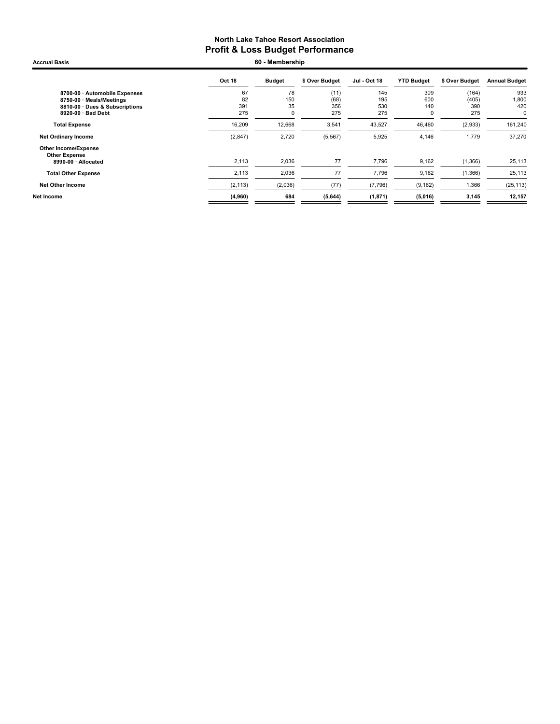Accrual Basis **60 - Membership** 

|                                                     | Oct 18   | <b>Budget</b> | \$ Over Budget | Jul - Oct 18 | <b>YTD Budget</b> | \$ Over Budget | <b>Annual Budget</b> |
|-----------------------------------------------------|----------|---------------|----------------|--------------|-------------------|----------------|----------------------|
| 8700-00 · Automobile Expenses                       | 67       | 78            | (11)           | 145          | 309               | (164)          | 933                  |
| 8750-00 · Meals/Meetings                            | 82       | 150           | (68)           | 195          | 600               | (405)          | 1,800                |
| 8810-00 · Dues & Subscriptions                      | 391      | 35            | 356            | 530          | 140               | 390            | 420                  |
| 8920-00 · Bad Debt                                  | 275      | 0             | 275            | 275          | $\mathbf 0$       | 275            | $\mathbf 0$          |
| <b>Total Expense</b>                                | 16,209   | 12,668        | 3,541          | 43,527       | 46,460            | (2,933)        | 161,240              |
| <b>Net Ordinary Income</b>                          | (2, 847) | 2,720         | (5, 567)       | 5,925        | 4,146             | 1,779          | 37,270               |
| <b>Other Income/Expense</b><br><b>Other Expense</b> |          |               |                |              |                   |                |                      |
| 8990-00 · Allocated                                 | 2,113    | 2,036         | 77             | 7,796        | 9,162             | (1,366)        | 25,113               |
| <b>Total Other Expense</b>                          | 2,113    | 2,036         | 77             | 7,796        | 9,162             | (1,366)        | 25,113               |
| <b>Net Other Income</b>                             | (2, 113) | (2,036)       | (77)           | (7,796)      | (9, 162)          | 1,366          | (25, 113)            |
| Net Income                                          | (4,960)  | 684           | (5,644)        | (1, 871)     | (5,016)           | 3,145          | 12,157               |